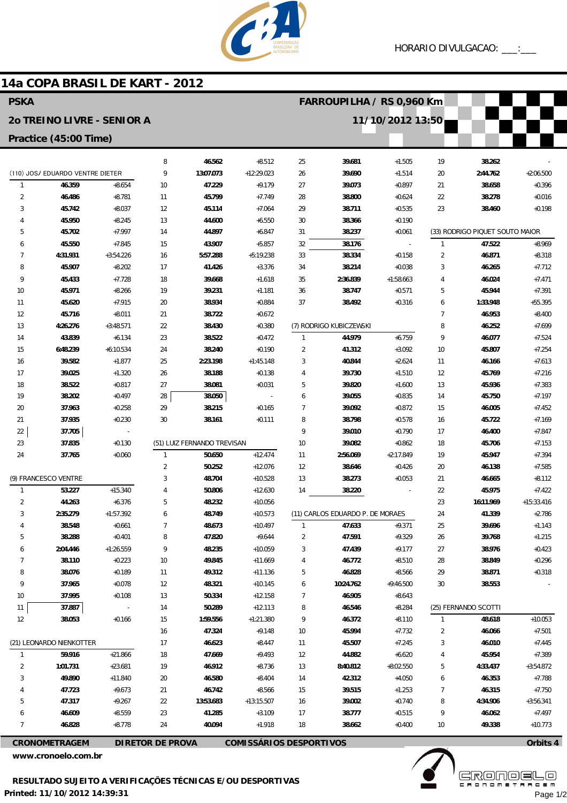

#### 14a COPA BRASIL DE KART - 2012 **PSKA FARROUPILHA / RS 0.960 Km** 20 TREINO LIVRE - SENIOR A 11/10/2012 13:50 Practice (45:00 Time)  $25$ 8 46.562  $+8.512$ 39.681 19 38.262  $+1.505$  $\overline{9}$ (110) JOS/ EDUARDO VENTRE DIETER 13:07.073  $+12:29.023$  $26$ 39.690  $+1.514$  $\overline{20}$ 2:44.762  $+2:06.500$  $\overline{1}$ 46.359  $+8.654$  $10$ 47.229  $+9.179$  $27$ 39.073  $+0.897$  $21$ 38.658  $+0.396$  $\overline{2}$ 46 486  $+8.781$  $11$ **45700**  $+7749$  $28$ 38.800  $+0.624$  $22$ 38278  $+0.016$  $\overline{3}$  $+8.037$ 45.114 29 23 38.460  $+0.198$ 45.742  $12$  $+7.064$ 38.711  $+0.535$  $\overline{4}$ 45.950  $+8.245$ 44.600  $30$ 13  $+6.550$ 38.366  $+0.190$  $+7.997$ 5 45.702 14 44.897  $+6.847$  $31$ 38.237  $+0.061$ (33) RODRIGO PIQUET SOUTO MAIOR  $+7.845$ 43.907 47.522  $+8.969$  $\overline{6}$ 45.550 15  $+5.857$ 32 38.176  $\overline{1}$  $\overline{7}$ 5-57 288 38334  $\overline{2}$ 4.31.931  $+3.54226$ 16  $+5.19238$ 33  $+0.158$ 46871  $+8318$  $+3.376$ 8 45.907  $+8.202$  $17$ 41.426 34 38.214  $+0.038$  $\sqrt{3}$ 46.265  $+7.712$  $\overline{9}$ 45433  $+7728$ 39.668  $35$  $2.36839$ 46024  $+7471$ 18  $+1618$  $+1.58663$  $\Delta$  $10$ 45 971  $+8.266$  $19$ 39 231  $+1.181$  $36$ 38747  $+0.571$  $\overline{5}$ 45944  $+7.391$  $11$ 45.620  $+7.915$ 38.934  $+0.884$ 38.492  $+0.316$ 1:33.948  $+55.395$  $20$  $37$  $\overline{6}$  $12$ 45.716  $+8.011$  $21$ 38.722  $\overline{7}$  $+8400$  $+0.672$ 46.953  $13$  $4:26.276$  $+3.48571$  $22$ 38.430  $+0.380$ (7) RODRIGO KUBICZEWSKI 8 46.252  $+7699$ 44.979  $+6.759$  $\overline{q}$ 46.077  $14$ 43.839  $+6.134$  $2<sub>3</sub>$ 38.522  $+0.472$  $\overline{1}$  $+7.524$  $15$  $6.48239$  $+6.10534$  $24$ 38.240  $+0.190$  $\overline{\phantom{a}}$ 41312  $+3.092$  $10$ 45807  $+7254$ 39.582  $+1.877$  $25$ 2:23.198  $+1:45.148$  $\overline{3}$ 40.844  $+2.624$  $11$ 46.166  $+7.613$ 16  $17$ 39.025  $+1.320$  $26$ 38.188  $\overline{4}$ 39.730  $+1.510$ 45.769  $+7.216$  $+0.138$  $12$ 18 38522  $+0.817$  $27$ 38.081  $+0.031$  $\overline{b}$ 39820  $+1600$  $13$ 45936  $+7.383$ 19 38.202  $+0.497$ 28 38.050 39.055  $+0.835$ 45.750  $+7.197$  $6\overline{6}$ 14  $29$ 38 215  $20$ 37963  $+0.258$  $\overline{7}$ 39.092  $+0.872$  $+0.165$  $15$ 46,005  $+7452$ 8  $2<sup>1</sup>$ 37.935  $+0.230$ 30 38.161  $+0.111$ 38.798  $+0.578$ 16 45.722  $+7.169$ 37.705  $\overline{Q}$ 39.010  $+0.790$  $22$  $17$ 46.400  $+7.847$  $23$ (51) LUIZ FERNANDO TREVISAN  $10$ 37.835  $+0.130$ 39082  $+0.862$ 18 45706  $+7153$ 24 37.765  $+0.060$ 50.650  $+12.474$  $11$ 2:56.069  $+2:17.849$ 19 45.947  $+7.394$ 1  $\overline{\phantom{a}}$ 50.252  $+12076$  $12$ 38.646  $+7.585$  $+0.426$  $20$ 46.138 (9) FRANCESCO VENTRE  $\overline{3}$ 48.704  $+10.528$ 38.273  $+0.053$ 21  $+8.112$  $13$ 46.665 38.220  $\overline{1}$ 53.227  $+15.340$  $\overline{4}$ 50.806  $+12.630$  $14$ 22 45.975  $+7.422$  $\overline{2}$ 44.263  $+6.376$ 5 48.232  $+10.056$ 23 16:11.969  $+15:33.416$  $\overline{3}$ 2:35.279  $+1:57.392$ 6 48.749  $+10.573$ (11) CARLOS EDUARDO P. DE MORAES 24 41.339  $+2.786$  $\overline{4}$ 38.548  $+0.661$  $\overline{7}$ 48.673  $+10.497$ 47.633  $+9.371$ 25 39.696  $\overline{1}$  $+1.143$ 5 38.288  $+0.401$ 8 47.820  $+9.644$  $\overline{2}$ 47.591  $+9.329$  $26$ 39.768  $+1.215$  $\overline{9}$  $\ddot{\mathbf{6}}$ 2:04.446  $+1:26.559$ 48.235  $+10.059$  $\overline{3}$ 47.439  $+9.177$  $27$ 38.976  $+0.423$  $\overline{7}$ 38.110  $+0.223$  $10$ 49.845  $+11.669$  $\overline{4}$ 46.772  $+8.510$  $28$ 38.849  $+0.296$ 8 38.076  $+0.189$ 49.312  $+11.136$ 5 46.828  $+8.566$ 29 38.871  $11$  $+0.318$ 38.553  $\overline{Q}$ 37.965  $+0.078$  $12$ 48.321  $+10.145$  $\ddot{\mathbf{6}}$ 10:24.762  $+9:46.500$  $30<sup>°</sup>$  $10$ 37.995  $+0.108$  $13$ 50.334  $+12.158$  $\overline{7}$ 46.905  $+8.643$ 50.289 (25) FERNANDO SCOTTI 11 37.887  $14$  $+12.113$ 8 46.546  $+8.284$  $12$ 38.053  $+0.166$ 15 1:59.556  $+1.21.380$  $\mathsf{o}$ 46.372  $+8110$ 48.618  $+10.053$  $\overline{1}$  $+9.148$ 47.324  $10$ 45.994  $+7.732$  $\overline{2}$ 46.066  $+7.501$ 16 (21) LEONARDO NIENKOTTER  $17$ 46.623  $+8.447$  $11$ 45.507  $+7245$  $\overline{3}$ 46.010  $+7.445$ 44.882  $\overline{1}$ 59916  $+21866$ 18 47669  $+9.493$  $12$  $+6620$  $\Delta$ 45954  $+7389$  $\overline{2}$ 1:01.731  $+23.681$  $19$ 46.912  $+8.736$ 8:40.812  $+8:02.550$ 5 4:33.437  $+3:54.872$  $13$  $\overline{3}$ 49.890  $+11.840$  $20$ 46.580  $+8.404$ 14 42.312  $+4.050$ 46.353  $+7.788$ 6  $\overline{4}$ 47.723  $+9.673$  $21$ 46742  $+8.566$ 15 39515  $+1.253$  $\overline{1}$ 46.315  $+7.750$  $\overline{5}$ 47.317  $+9.267$  $\overline{\mathcal{L}}$ 13:53.683  $+13.15.507$  $16$ 39.002  $+0.740$  $\beta$  $4:34.906$  $+3.56341$  $\overline{6}$ 41.285 38.777 46.609  $+8.559$  $23$  $+3.109$  $17$  $+0.515$  $\mathsf{q}$ 46.062  $+7497$  $\overline{1}$ 46.828  $+8.778$  $\overline{24}$ 40.094  $+1.918$ 18 38.662  $+0.400$  $10$ 49.338  $+10.773$

**CRONOMETRAGEM** 

**DIRETOR DE PROVA** 

**COMISSÁRIOS DESPORTIVOS** 

www.cronoelo.com.br



 $\lrcorner$   $\Box$ Page 1/2